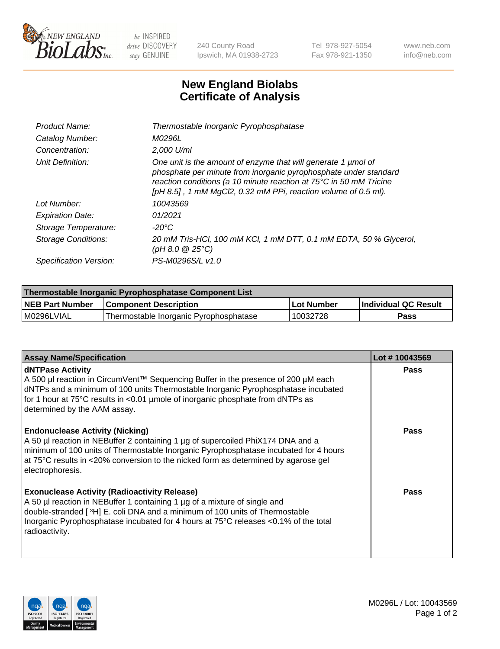

 $be$  INSPIRED drive DISCOVERY stay GENUINE

240 County Road Ipswich, MA 01938-2723 Tel 978-927-5054 Fax 978-921-1350 www.neb.com info@neb.com

## **New England Biolabs Certificate of Analysis**

| Product Name:           | Thermostable Inorganic Pyrophosphatase                                                                                                                                                                                                                                    |
|-------------------------|---------------------------------------------------------------------------------------------------------------------------------------------------------------------------------------------------------------------------------------------------------------------------|
| Catalog Number:         | M0296L                                                                                                                                                                                                                                                                    |
| Concentration:          | $2.000$ U/ml                                                                                                                                                                                                                                                              |
| Unit Definition:        | One unit is the amount of enzyme that will generate 1 umol of<br>phosphate per minute from inorganic pyrophosphate under standard<br>reaction conditions (a 10 minute reaction at 75°C in 50 mM Tricine<br>[pH 8.5], 1 mM MgCl2, 0.32 mM PPi, reaction volume of 0.5 ml). |
| Lot Number:             | 10043569                                                                                                                                                                                                                                                                  |
| <b>Expiration Date:</b> | 01/2021                                                                                                                                                                                                                                                                   |
| Storage Temperature:    | -20°C                                                                                                                                                                                                                                                                     |
| Storage Conditions:     | 20 mM Tris-HCl, 100 mM KCl, 1 mM DTT, 0.1 mM EDTA, 50 % Glycerol,<br>(pH 8.0 $@25°C$ )                                                                                                                                                                                    |
| Specification Version:  | PS-M0296S/L v1.0                                                                                                                                                                                                                                                          |

| Thermostable Inorganic Pyrophosphatase Component List |                                        |            |                             |  |
|-------------------------------------------------------|----------------------------------------|------------|-----------------------------|--|
| <b>NEB Part Number</b>                                | <b>Component Description</b>           | Lot Number | <b>Individual QC Result</b> |  |
| l M0296LVIAL                                          | Thermostable Inorganic Pyrophosphatase | 10032728   | <b>Pass</b>                 |  |

| <b>Assay Name/Specification</b>                                                                                                                                                                                                                                                                                             | Lot #10043569 |
|-----------------------------------------------------------------------------------------------------------------------------------------------------------------------------------------------------------------------------------------------------------------------------------------------------------------------------|---------------|
| dNTPase Activity<br>A 500 µl reaction in CircumVent™ Sequencing Buffer in the presence of 200 µM each<br>dNTPs and a minimum of 100 units Thermostable Inorganic Pyrophosphatase incubated<br>for 1 hour at 75°C results in <0.01 µmole of inorganic phosphate from dNTPs as<br>determined by the AAM assay.                | <b>Pass</b>   |
| <b>Endonuclease Activity (Nicking)</b><br>A 50 µl reaction in NEBuffer 2 containing 1 µg of supercoiled PhiX174 DNA and a<br>minimum of 100 units of Thermostable Inorganic Pyrophosphatase incubated for 4 hours<br>at 75°C results in <20% conversion to the nicked form as determined by agarose gel<br>electrophoresis. | <b>Pass</b>   |
| <b>Exonuclease Activity (Radioactivity Release)</b><br>A 50 µl reaction in NEBuffer 1 containing 1 µg of a mixture of single and<br>double-stranded [3H] E. coli DNA and a minimum of 100 units of Thermostable<br>Inorganic Pyrophosphatase incubated for 4 hours at 75°C releases <0.1% of the total<br>radioactivity.    | Pass          |